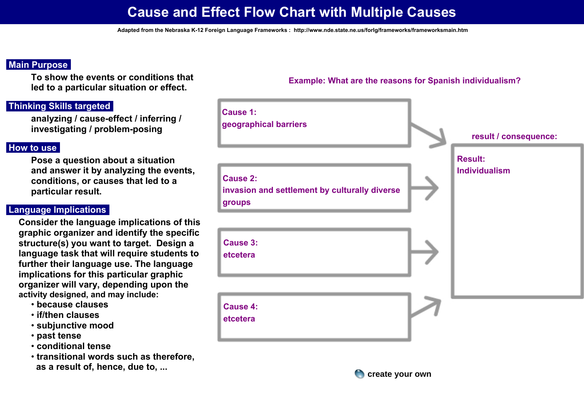# **Cause and Effect Flow Chart with Multiple Causes**

## **Main Purpose:**

**To show the events or conditions that led to a particular situation or effect.** 

# **Thinking Skills targeted:**

**analyzing / cause-effect / inferring / investigating / problem-posing** 

#### **How to use:**

**Pose a question about a situation and answer it by analyzing the events, conditions, or causes that led to a particular result.**

### **Language Implications:**

**Consider the language implications of this graphic organizer and identify the specific structure(s) you want to target. Design a language task that will require students to further their language use. The language implications for this particular graphic organizer will vary, depending upon the activity designed, and may include:**

- **because clauses**
- **if/then clauses**
- **subjunctive mood**
- **past tense**
- **conditional tense**
- **transitional words such as therefore, as a result of, hence, due to, ...**

**Cause 1: geographical barriersresult / consequence:Result: Individualism Cause 2: invasion and settlement by culturally diverse groupsCause 3: etceteraCause 4: etceteraAdapted from the Nebraska K-12 Foreign Language Frameworks : http://www.nde.state.ne.us/for/sframeworks/frameworkshan.html<br>
<b>Adapted Yimferring /**<br> **Cause 1:**<br> **Adapted Script:** and Scriptical barriers<br>
are the transforma

**Example: What are the reasons for Spanish individualism?**

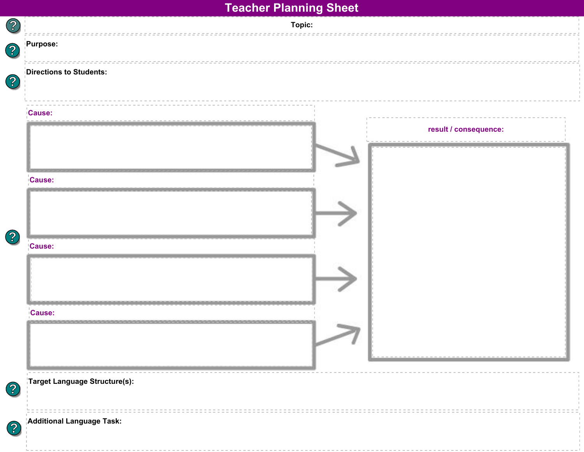| Purpose:                      |  |                       |
|-------------------------------|--|-----------------------|
| Directions to Students:       |  |                       |
| <b>Cause:</b>                 |  |                       |
|                               |  | result / consequence: |
|                               |  |                       |
| <b>Cause:</b>                 |  |                       |
|                               |  |                       |
|                               |  |                       |
|                               |  |                       |
| <b>Cause:</b>                 |  |                       |
|                               |  |                       |
|                               |  |                       |
| <b>Cause:</b>                 |  |                       |
|                               |  |                       |
|                               |  |                       |
| Target Language Structure(s): |  |                       |
|                               |  |                       |